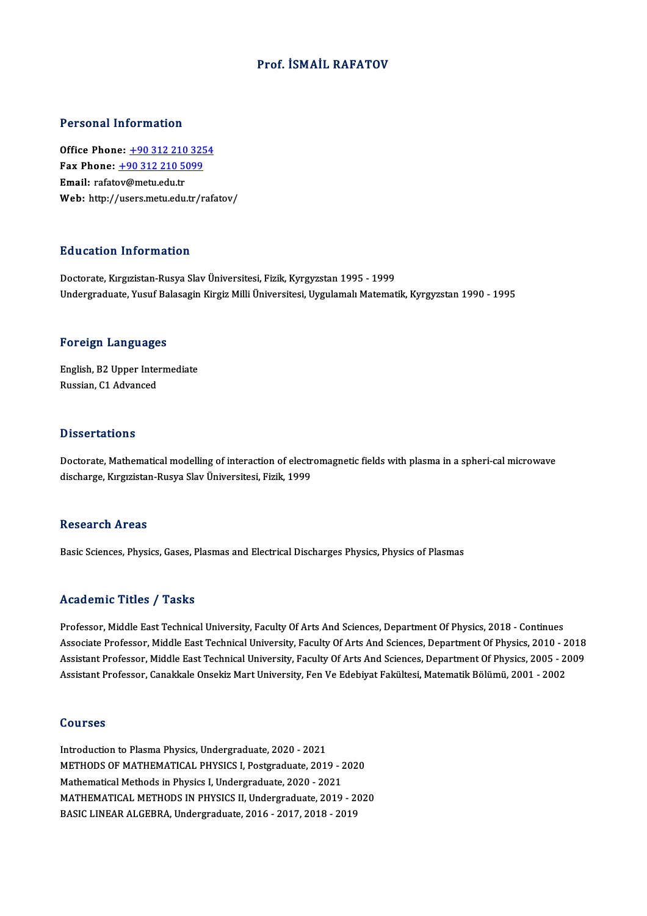### Prof. İSMAİL RAFATOV

### Personal Information

**Personal Information<br>Office Phone: +90 312 210 3254<br>Fax Phone: +90 312 210 5099** Fax Phone: <u>+90 312 210 325</u><br>Fax Phone: <u>+90 312 210 5099</u><br>Fmail: rafatov@matu.edu.tr Office Phone: <u>+90 312 210</u><br>Fax Phone: <u>+90 312 210 50</u><br>Email: rafat[ov@metu.edu.tr](tel:+90 312 210 5099) Fax Phone: <u>+90 312 210 5099</u><br>Email: rafatov@metu.edu.tr<br>Web: http://users.metu.edu.tr/rafatov/

### Education Information

Doctorate, Kırgızistan-Rusya Slav Üniversitesi, Fizik, Kyrgyzstan 1995 - 1999 Undergraduate, Yusuf Balasagin Kirgiz Milli Üniversitesi, Uygulamalı Matematik, Kyrgyzstan 1990 - 1995

### Foreign Languages

Foreign Languages<br>English, B2 Upper Intermediate<br>Buggian C1 Advanged Processing Language<br>English, B2 Upper Inter<br>Russian, C1 Advanced Russian, C1 Advanced<br>Dissertations

Doctorate, Mathematical modelling of interaction of electromagnetic fields with plasma in a spheri-cal microwave discharge, Kırgızistan-Rusya Slav Üniversitesi, Fizik, 1999

### **Research Areas**

Basic Sciences, Physics, Gases, Plasmas and Electrical Discharges Physics, Physics of Plasmas

### Academic Titles / Tasks

Professor, Middle East Technical University, Faculty Of Arts And Sciences, Department Of Physics, 2018 - Continues Associate Artics / Adolfs<br>Professor, Middle East Technical University, Faculty Of Arts And Sciences, Department Of Physics, 2018 - Continues<br>Associate Professor, Middle East Technical University, Faculty Of Arts And Scienc Professor, Middle East Technical University, Faculty Of Arts And Sciences, Department Of Physics, 2018 - Continues<br>Associate Professor, Middle East Technical University, Faculty Of Arts And Sciences, Department Of Physics, Associate Professor, Middle East Technical University, Faculty Of Arts And Sciences, Department Of Physics, 2010 - 2<br>Assistant Professor, Middle East Technical University, Faculty Of Arts And Sciences, Department Of Physic Assistant Professor, Canakkale Onsekiz Mart University, Fen Ve Edebiyat Fakültesi, Matematik Bölümü, 2001 - 2002<br>Courses

Introduction to Plasma Physics, Undergraduate, 2020 - 2021 METHODS OF MATHEMATICAL PHYSICS I, Postgraduate, 2019 - 2020 Mathematical Methods in Physics I, Undergraduate, 2020 - 2021 MATHEMATICAL METHODS IN PHYSICS II, Undergraduate, 2019 - 2020 BASICLINEARALGEBRA,Undergraduate,2016 -2017,2018 -2019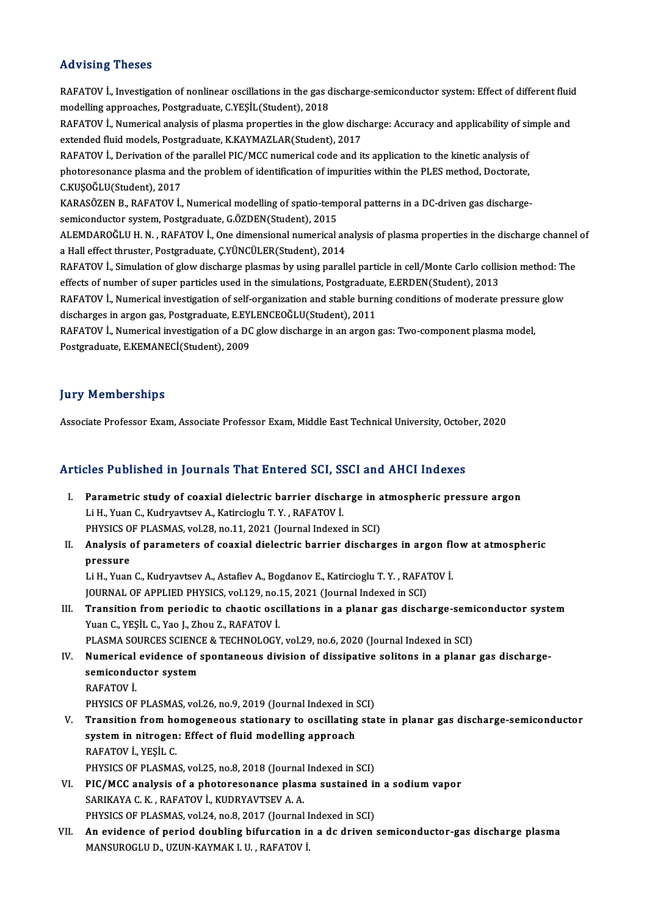### Advising Theses

Advising Theses<br>RAFATOV İ., Investigation of nonlinear oscillations in the gas discharge-semiconductor system: Effect of different fluid<br>modelling approaches. Pestaneduate. C.VESU (Student), 2019. modelling a model<br>RAFATOV İ., Investigation of nonlinear oscillations in the gas d<br>modelling approaches, Postgraduate, C.YEŞİL(Student), 2018<br>BAFATOV İ. Numerical analysis of plasma proportiss in the sl RAFATOV İ., Investigation of nonlinear oscillations in the gas discharge-semiconductor system: Effect of different fluid<br>modelling approaches, Postgraduate, C.YEŞİL(Student), 2018<br>RAFATOV İ., Numerical analysis of plasma p modelling approaches, Postgraduate, C.YEŞİL(Student), 2018<br>RAFATOV İ., Numerical analysis of plasma properties in the glow disc<br>extended fluid models, Postgraduate, K.KAYMAZLAR(Student), 2017<br>RAFATOV İ. Deriyation of the p RAFATOV İ., Numerical analysis of plasma properties in the glow discharge: Accuracy and applicability of site<br>extended fluid models, Postgraduate, K.KAYMAZLAR(Student), 2017<br>RAFATOV İ., Derivation of the parallel PIC/MCC n extended fluid models, Postgraduate, K.KAYMAZLAR(Student), 2017<br>RAFATOV İ., Derivation of the parallel PIC/MCC numerical code and its application to the kinetic analysis of<br>photoresonance plasma and the problem of identifi RAFATOV İ., Derivation of th<br>photoresonance plasma and<br>C.KUŞOĞLU(Student), 2017<br>KARASÖZEN B., BAEATOV İ. photoresonance plasma and the problem of identification of impurities within the PLES method, Doctorate,<br>C.KUŞOĞLU(Student), 2017<br>KARASÖZEN B., RAFATOV İ., Numerical modelling of spatio-temporal patterns in a DC-driven gas C.KUŞOĞLU(Student), 2017<br>KARASÖZEN B., RAFATOV İ., Numerical modelling of spatio-temp<br>semiconductor system, Postgraduate, G.ÖZDEN(Student), 2015<br>ALEMDAROĞLU H.N., BAFATOV İ. One dimensional numerisalı KARASÖZEN B., RAFATOV İ., Numerical modelling of spatio-temporal patterns in a DC-driven gas discharge-<br>semiconductor system, Postgraduate, G.ÖZDEN(Student), 2015<br>ALEMDAROĞLU H. N. , RAFATOV İ., One dimensional numerical a semiconductor system, Postgraduate, G.ÖZDEN(Student), 2015<br>ALEMDAROĞLU H. N. , RAFATOV İ., One dimensional numerical analysis of plasma properties in the discharge channel of<br>a Hall effect thruster, Postgraduate, Ç.YÜNCÜLE ALEMDAROĞLU H. N. , RAFATOV İ., One dimensional numerical analysis of plasma properties in the discharge channel<br>a Hall effect thruster, Postgraduate, Ç.YÜNCÜLER(Student), 2014<br>RAFATOV İ., Simulation of glow discharge plas a Hall effect thruster, Postgraduate, Ç.YÜNCÜLER(Student), 2014<br>RAFATOV İ., Simulation of glow discharge plasmas by using parallel particle in cell/Monte Carlo collis<br>effects of number of super particles used in the simula RAFATOV İ., Simulation of glow discharge plasmas by using parallel particle in cell/Monte Carlo collision method: The<br>effects of number of super particles used in the simulations, Postgraduate, E.ERDEN(Student), 2013<br>RAFAT effects of number of super particles used in the simulations, Postgraduat<br>RAFATOV İ., Numerical investigation of self-organization and stable burn<br>discharges in argon gas, Postgraduate, E.EYLENCEOĞLU(Student), 2011<br>RAFATOV RAFATOV İ., Numerical investigation of self-organization and stable burning conditions of moderate pressure glow<br>discharges in argon gas, Postgraduate, E.EYLENCEOĞLU(Student), 2011<br>RAFATOV İ., Numerical investigation of a discharges in argon gas, Postgraduate, E.EYI<br>RAFATOV İ., Numerical investigation of a DC<br>Postgraduate, E.KEMANECİ(Student), 2009

### **Jury Memberships**

Associate Professor Exam, Associate Professor Exam, Middle East Technical University, October, 2020

# Associate Professor Exam, Associate Professor Exam, Middle East Technical University, Octob<br>Articles Published in Journals That Entered SCI, SSCI and AHCI Indexes

- rticles Published in Journals That Entered SCI, SSCI and AHCI Indexes<br>I. Parametric study of coaxial dielectric barrier discharge in atmospheric pressure argon Parametric study of coaxial dielectric barrier discharge in atmospheric pressure argon<br>Li H., Yuan C., Kudryavtsev A., Katircioglu T. Y. , RAFATOV İ. Parametric study of coaxial dielectric barrier discharge in a<br>Li H., Yuan C., Kudryavtsev A., Katircioglu T. Y. , RAFATOV İ.<br>PHYSICS OF PLASMAS, vol.28, no.11, 2021 (Journal Indexed in SCI)<br>Analysis of parameters of seavia
- II. Analysis of parameters of coaxial dielectric barrier discharges in argon flow at atmospheric pressure PHYSICS O<br>**Analysis**<br>pressure<br>Li H. Vuon Analysis of parameters of coaxial dielectric barrier discharges in argon fle<br>pressure<br>Li H., Yuan C., Kudryavtsev A., Astafiev A., Bogdanov E., Katircioglu T. Y. , RAFATOV İ.<br>JOUPMAL OF APPLIED PHYSICS vol 129, no 15, 2021 pressure<br>Li H., Yuan C., Kudryavtsev A., Astafiev A., Bogdanov E., Katircioglu T. Y. , RAFA.<br>JOURNAL OF APPLIED PHYSICS, vol.129, no.15, 2021 (Journal Indexed in SCI)<br>Transition from periodic to chootis ossillations in a p

Li H., Yuan C., Kudryavtsev A., Astafiev A., Bogdanov E., Katircioglu T. Y. , RAFATOV İ.<br>JOURNAL OF APPLIED PHYSICS, vol.129, no.15, 2021 (Journal Indexed in SCI)<br>III. Transition from periodic to chaotic oscillations i JOURNAL OF APPLIED PHYSICS, vol.129, no.1<br>Transition from periodic to chaotic osc<br>Yuan C., YEŞİL C., Yao J., Zhou Z., RAFATOV İ.<br>PLASMA SOURCES SCIENCE & TECHNOLOCY Transition from periodic to chaotic oscillations in a planar gas discharge-semi<br>Yuan C., YEŞİL C., Yao J., Zhou Z., RAFATOV İ.<br>PLASMA SOURCES SCIENCE & TECHNOLOGY, vol.29, no.6, 2020 (Journal Indexed in SCI)<br>Numerisel evid

IV. Yuan C., YEŞİL C., Yao J., Zhou Z., RAFATOV İ.<br>PLASMA SOURCES SCIENCE & TECHNOLOGY, vol.29, no.6, 2020 (Journal Indexed in SCI)<br>IV. Numerical evidence of spontaneous division of dissipative solitons in a planar gas PLASMA SOURCES SCIENCE & TECHNOLOGY, vol.29, no.6, 2020 (Journal Indexed in SCI)<br>Numerical evidence of spontaneous division of dissipative solitons in a planar<br>semiconductor system<br>RAFATOV İ. semiconductor system semiconductor system<br>RAFATOV İ.<br>PHYSICS OF PLASMAS, vol.26, no.9, 2019 (Journal Indexed in SCI)<br>Transition from bomogeneous stationary to oscillating sta

RAFATOV İ.<br>PHYSICS OF PLASMAS, vol.26, no.9, 2019 (Journal Indexed in SCI)<br>V. Transition from homogeneous stationary to oscillating state in planar gas discharge-semiconductor<br>system in pitroson: Effect of fluid modell PHYSICS OF PLASMAS, vol.26, no.9, 2019 (Journal Indexed in 9<br>Transition from homogeneous stationary to oscillating<br>system in nitrogen: Effect of fluid modelling approach<br>RAFATOV in VESU C **Transition from ho<br>system in nitrogen<br>RAFATOV İ., YEŞİL C.<br>puvsics OE PLASMA** system in nitrogen: Effect of fluid modelling approach<br>RAFATOV İ., YEŞİL C.<br>PHYSICS OF PLASMAS, vol.25, no.8, 2018 (Journal Indexed in SCI)<br>PIC (MCC apalysis of a photorosonance plasma sustained in

- RAFATOV İ., YEŞİL C.<br>PHYSICS OF PLASMAS, vol.25, no.8, 2018 (Journal Indexed in SCI)<br>VI. PIC/MCC analysis of a photoresonance plasma sustained in a sodium vapor<br>SARIKAYA C. K., RAFATOV İ., KUDRYAVTSEV A. A. PHYSICS OF PLASMAS, vol.25, no.8, 2018 (Journal<br>PIC/MCC analysis of a photoresonance plasm<br>SARIKAYA C. K., RAFATOV İ., KUDRYAVTSEV A. A. PIC/MCC analysis of a photoresonance plasma sustained in<br>SARIKAYA C. K., RAFATOV İ., KUDRYAVTSEV A. A.<br>PHYSICS OF PLASMAS, vol.24, no.8, 2017 (Journal Indexed in SCI)<br>An evidence of noried doubling bifurestion in a de driv
- VII. An evidence of period doubling bifurcation in a dc driven semiconductor-gas discharge plasma<br>MANSUROGLU D., UZUN-KAYMAK I. U., RAFATOV İ. PHYSICS OF PLASMAS, vol.24, no.8, 2017 (Journal I<br><mark>An evidence of period doubling bifurcation i</mark><br>MANSUROGLU D., UZUN-KAYMAK I. U. , RAFATOV İ.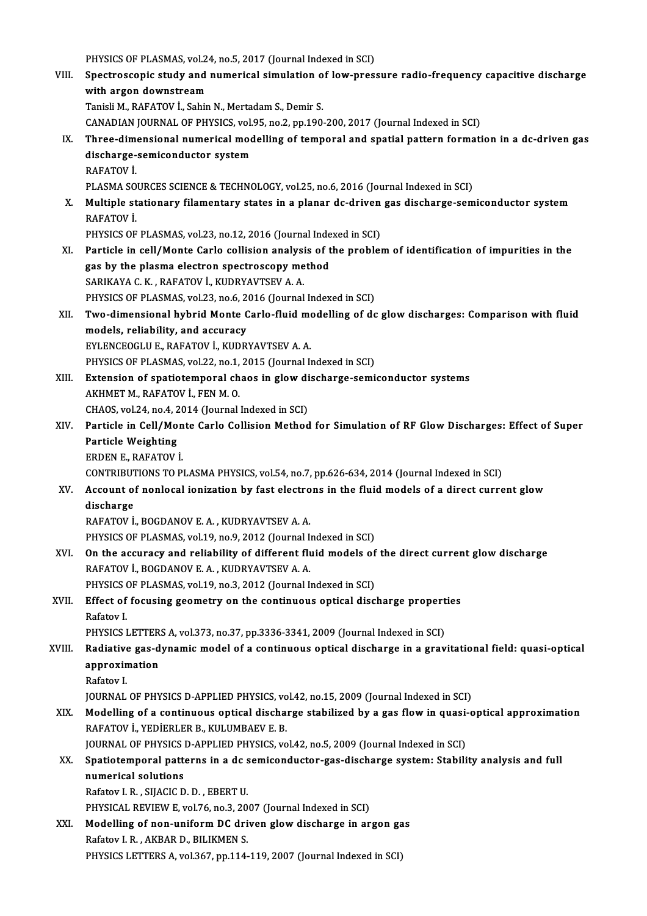PHYSICS OF PLASMAS, vol.24, no.5, 2017 (Journal Indexed in SCI)<br>Spectrossopic study and numerical simulation of low press VIII. Spectroscopic study and numerical simulation of low-pressure radio-frequency capacitive discharge<br>with argon downstream PHYSICS OF PLASMAS, vol.2<br>Spectroscopic study and<br>with argon downstream<br>Tanieli M. BAEATOV L. Sebin Tanisli M., RAFATOV İ., Sahin N., Mertadam S., Demir S. with argon downstream<br>Tanisli M., RAFATOV İ., Sahin N., Mertadam S., Demir S.<br>CANADIAN JOURNAL OF PHYSICS, vol.95, no.2, pp.190-200, 2017 (Journal Indexed in SCI)<br>Three dimensional numerical modelling of temperal and spati IX. Three-dimensional numerical modelling of temporal and spatial pattern formation in a dc-driven gas CANADIAN JOURNAL OF PHYSICS, vol.<br>Three-dimensional numerical mod<br>discharge-semiconductor system<br>BAEATOV İ discharge-semiconductor system<br>RAFATOV İ. PLASMA SOURCES SCIENCE & TECHNOLOGY, vol.25, no.6, 2016 (Journal Indexed in SCI) RAFATOV İ.<br>PLASMA SOURCES SCIENCE & TECHNOLOGY, vol.25, no.6, 2016 (Journal Indexed in SCI)<br>X. Multiple stationary filamentary states in a planar dc-driven gas discharge-semiconductor system<br>RAFATOV İ PLASMA SO<br>**Multiple st<br>RAFATOV İ.**<br>PHYSICS OF Multiple stationary filamentary states in a planar dc-driven<br>RAFATOV İ.<br>PHYSICS OF PLASMAS, vol.23, no.12, 2016 (Journal Indexed in SCI)<br>Perticle in sell (Monte Carle sellisien analysis of the problem RAFATOV İ.<br>PHYSICS OF PLASMAS, vol.23, no.12, 2016 (Journal Indexed in SCI)<br>XI. Particle in cell/Monte Carlo collision analysis of the problem of identification of impurities in the PHYSICS OF PLASMAS, vol.23, no.12, 2016 (Journal Inde<br>Particle in cell/Monte Carlo collision analysis of t<br>gas by the plasma electron spectroscopy method<br>SARIKANA C.K., PAEATOV L.KUDBYAVTSEV A.A. Particle in cell/Monte Carlo collision analysi<br>gas by the plasma electron spectroscopy me<br>SARIKAYA C.K., RAFATOV İ., KUDRYAVTSEV A.A.<br>PHYSICS OF PLASMAS val 22 no 6,2016 (Journal SARIKAYA C. K., RAFATOV İ., KUDRYAVTSEV A. A.<br>PHYSICS OF PLASMAS, vol.23, no.6, 2016 (Journal Indexed in SCI) SARIKAYA C. K., RAFATOV İ., KUDRYAVTSEV A. A.<br>PHYSICS OF PLASMAS, vol.23, no.6, 2016 (Journal Indexed in SCI)<br>XII. Two-dimensional hybrid Monte Carlo-fluid modelling of dc glow discharges: Comparison with fluid<br>models\_ PHYSICS OF PLASMAS, vol.23, no.6, 2<br>Two-dimensional hybrid Monte C<br>models, reliability, and accuracy<br>EVI ENCEOCLUE BAEATOV L VUDP Two-dimensional hybrid Monte Carlo-fluid me<br>models, reliability, and accuracy<br>EYLENCEOGLU E., RAFATOV İ., KUDRYAVTSEV A. A.<br>PHYSICS OF PLASMAS vol 22. no.1.2015 (Journal I. models, reliability, and accuracy<br>EYLENCEOGLU E., RAFATOV İ., KUDRYAVTSEV A. A.<br>PHYSICS OF PLASMAS, vol.22, no.1, 2015 (Journal Indexed in SCI)<br>Eytension of spotiatemperal shaqe in slow disebarse semi EYLENCEOGLU E., RAFATOV İ., KUDRYAVTSEV A. A.<br>PHYSICS OF PLASMAS, vol.22, no.1, 2015 (Journal Indexed in SCI)<br>XIII. Extension of spatiotemporal chaos in glow discharge-semiconductor systems<br>AKHMET M., RAFATOV İ., FEN M. O. PHYSICS OF PLASMAS, vol.22, no.1,<br>Extension of spatiotemporal ch<br>AKHMET M., RAFATOV İ., FEN M. O.<br>CHAOS vol.24, no.4, 2014 (Journal) Extension of spatiotemporal chaos in glow di<br>AKHMET M., RAFATOV İ., FEN M. O.<br>CHAOS, vol.24, no.4, 2014 (Journal Indexed in SCI)<br>Particle in Cell/Monte Carle Cellisien Method XIV. Particle in Cell/Monte Carlo Collision Method for Simulation of RF Glow Discharges: Effect of Super<br>Particle Weighting CHAOS, vol.24, no.4, 2<br>Particle in Cell/Mo<br>Particle Weighting ERDENE.,RAFATOVİ. Particle Weighting<br>ERDEN E., RAFATOV İ.<br>CONTRIBUTIONS TO PLASMA PHYSICS, vol.54, no.7, pp.626-634, 2014 (Journal Indexed in SCI)<br>Account of poplecel ionization by fest electrons in the fluid models of a direct curre XV. Account of nonlocal ionization by fast electrons in the fluid models of a direct current glow<br>discharge CONTRIBUT<br>Account of<br>discharge<br>BAEATOV İ RAFATOVİ.,BOGDANOVE.A. ,KUDRYAVTSEVA.A. PHYSICS OF PLASMAS, vol.19, no.9, 2012 (Journal Indexed in SCI) RAFATOV İ., BOGDANOV E. A. , KUDRYAVTSEV A. A.<br>PHYSICS OF PLASMAS, vol.19, no.9, 2012 (Journal Indexed in SCI)<br>XVI. On the accuracy and reliability of different fluid models of the direct current glow discharge<br>RAFATOV İ. PHYSICS OF PLASMAS, vol.19, no.9, 2012 (Journal I<sub>I</sub><br>On the accuracy and reliability of different flu<br>RAFATOV I., BOGDANOV E. A., KUDRYAVTSEV A. A. On the accuracy and reliability of different fluid models of<br>RAFATOV İ., BOGDANOV E. A. , KUDRYAVTSEV A. A.<br>PHYSICS OF PLASMAS, vol.19, no.3, 2012 (Journal Indexed in SCI)<br>Fffect of focusing geometry on the continuous onti RAFATOV İ., BOGDANOV E. A. , KUDRYAVTSEV A. A.<br>PHYSICS OF PLASMAS, vol.19, no.3, 2012 (Journal Indexed in SCI)<br>XVII. Effect of focusing geometry on the continuous optical discharge properties<br>Pefstov L PHYSICS<br>**Effect of**<br>Rafatov I.<br>PHYSICS I Effect of focusing geometry on the continuous optical discharge propert<br>Rafatov I.<br>PHYSICS LETTERS A, vol.373, no.37, pp.3336-3341, 2009 (Journal Indexed in SCI)<br>Padiative gas dynamic model of a continuous optical discharg Rafatov I.<br>PHYSICS LETTERS A, vol.373, no.37, pp.3336-3341, 2009 (Journal Indexed in SCI)<br>XVIII. Radiative gas-dynamic model of a continuous optical discharge in a gravitational field: quasi-optical<br>ARREQUINE: annovimat PHYSICS LETTER<br>Radiative gas-d<br>approximation<br><sup>Rofotov I</sup> Radiative<br>approxin<br>Rafatov I.<br>IOUPMAI approximation<br>Rafatov I.<br>JOURNAL OF PHYSICS D-APPLIED PHYSICS, vol.42, no.15, 2009 (Journal Indexed in SCI)<br>Modelling of a continuous enticel discharge stabilized by a gas flow in quesi s Rafatov I.<br>JOURNAL OF PHYSICS D-APPLIED PHYSICS, vol.42, no.15, 2009 (Journal Indexed in SCI)<br>XIX. Modelling of a continuous optical discharge stabilized by a gas flow in quasi-optical approximation<br>RAEATOV I. VEDIEDLER R. **JOURNAL OF PHYSICS D-APPLIED PHYSICS, vo<br>Modelling of a continuous optical discha:<br>RAFATOV İ., YEDİERLER B., KULUMBAEV E. B.<br>JOUPMAL OF PHYSICS D. APPLIED PHYSICS, YO** Modelling of a continuous optical discharge stabilized by a gas flow in quasi-<br>RAFATOV İ., YEDİERLER B., KULUMBAEV E. B.<br>JOURNAL OF PHYSICS D-APPLIED PHYSICS, vol.42, no.5, 2009 (Journal Indexed in SCI)<br>Spatistemperal patt RAFATOV İ., YEDİERLER B., KULUMBAEV E. B.<br>JOURNAL OF PHYSICS D-APPLIED PHYSICS, vol.42, no.5, 2009 (Journal Indexed in SCI)<br>XX. Spatiotemporal patterns in a dc semiconductor-gas-discharge system: Stability analysis and ful JOURNAL OF PHYSICS D-APPLIED PHYSICS, vol.42, no.5, 2009 (Journal Indexed in SCI) Rafatov I.R. ,SIJACICD.D. ,EBERTU. numerical solutions<br>Rafatov I. R. , SIJACIC D. D. , EBERT U.<br>PHYSICAL REVIEW E, vol.76, no.3, 2007 (Journal Indexed in SCI)<br>Modelling of non-uniform DC driver glaw diseberge in an Rafatov I. R., SIJACIC D. D., EBERT U.<br>PHYSICAL REVIEW E, vol.76, no.3, 2007 (Journal Indexed in SCI)<br>XXI. Modelling of non-uniform DC driven glow discharge in argon gas PHYSICAL REVIEW E, vol.76, no.3, 20<br>Modelling of non-uniform DC dri<br>Rafatov I. R., AKBAR D., BILIKMEN S. Modelling of non-uniform DC driven glow discharge in argon gas<br>Rafatov I. R., AKBAR D., BILIKMEN S.<br>PHYSICS LETTERS A, vol.367, pp.114-119, 2007 (Journal Indexed in SCI)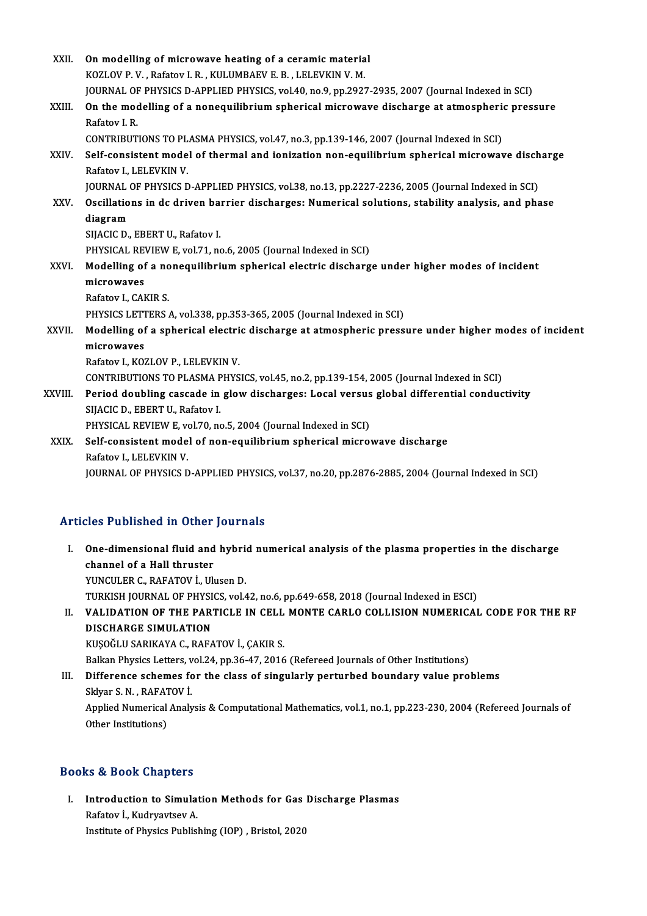| XXII.       | On modelling of microwave heating of a ceramic material                                                                       |
|-------------|-------------------------------------------------------------------------------------------------------------------------------|
|             | KOZLOV P. V., Rafatov I. R., KULUMBAEV E. B., LELEVKIN V. M.                                                                  |
|             | JOURNAL OF PHYSICS D-APPLIED PHYSICS, vol.40, no.9, pp.2927-2935, 2007 (Journal Indexed in SCI)                               |
| XXIII.      | On the modelling of a nonequilibrium spherical microwave discharge at atmospheric pressure<br>Rafatov I.R.                    |
|             | CONTRIBUTIONS TO PLASMA PHYSICS, vol.47, no.3, pp.139-146, 2007 (Journal Indexed in SCI)                                      |
| XXIV.       | Self-consistent model of thermal and ionization non-equilibrium spherical microwave discharge<br>Rafatov I., LELEVKIN V.      |
|             | JOURNAL OF PHYSICS D-APPLIED PHYSICS, vol.38, no.13, pp.2227-2236, 2005 (Journal Indexed in SCI)                              |
| XXV.        | Oscillations in dc driven barrier discharges: Numerical solutions, stability analysis, and phase                              |
|             | diagram                                                                                                                       |
|             | SIJACIC D., EBERT U., Rafatov I.                                                                                              |
|             | PHYSICAL REVIEW E, vol.71, no.6, 2005 (Journal Indexed in SCI)                                                                |
| XXVI.       | Modelling of a nonequilibrium spherical electric discharge under higher modes of incident                                     |
|             | microwaves                                                                                                                    |
|             | Rafatov I., CAKIR S.                                                                                                          |
|             | PHYSICS LETTERS A, vol.338, pp.353-365, 2005 (Journal Indexed in SCI)                                                         |
| XXVII.      | Modelling of a spherical electric discharge at atmospheric pressure under higher modes of incident                            |
|             | microwaves                                                                                                                    |
|             | Rafatov I., KOZLOV P., LELEVKIN V.                                                                                            |
|             | CONTRIBUTIONS TO PLASMA PHYSICS, vol.45, no.2, pp.139-154, 2005 (Journal Indexed in SCI)                                      |
| XXVIII.     | Period doubling cascade in glow discharges: Local versus global differential conductivity<br>SIJACIC D., EBERT U., Rafatov I. |
|             | PHYSICAL REVIEW E, vol.70, no.5, 2004 (Journal Indexed in SCI)                                                                |
| <b>XXIX</b> | Self-consistent model of non-equilibrium spherical microwave discharge                                                        |
|             | Rafatov I., LELEVKIN V.                                                                                                       |
|             | JOURNAL OF PHYSICS D-APPLIED PHYSICS, vol.37, no.20, pp.2876-2885, 2004 (Journal Indexed in SCI)                              |

## Articles Published in Other Journals

- rticles Published in Other Journals<br>I. One-dimensional fluid and hybrid numerical analysis of the plasma properties in the discharge<br>shannel of a Hall thuustar Channel of a Hall thruster<br>Channel of a Hall thruster<br>VINCULER C. BAEATOV L. Ub **One-dimensional fluid and hybrich<br>channel of a Hall thruster<br>YUNCULER C., RAFATOV İ., Ulusen D.<br>TURKISH JOURNAL OF BUYSICS vel 4** channel of a Hall thruster<br>YUNCULER C., RAFATOV İ., Ulusen D.<br>TURKISH JOURNAL OF PHYSICS, vol.42, no.6, pp.649-658, 2018 (Journal Indexed in ESCI)<br>VALUDATION OF THE PARTICLE IN CELL MONTE CARLO COLLISION NUMERICAL YUNCULER C., RAFATOV İ., Ulusen D.<br>TURKISH JOURNAL OF PHYSICS, vol.42, no.6, pp.649-658, 2018 (Journal Indexed in ESCI)<br>II. VALIDATION OF THE PARTICLE IN CELL MONTE CARLO COLLISION NUMERICAL CODE FOR THE RF<br>DISCHARCE S
- TURKISH JOURNAL OF PHYSI<br><mark>VALIDATION OF THE PAR'</mark><br>DISCHARGE SIMULATION<br>KUSOČIJI SABIKAVA C. PAEA VALIDATION OF THE PARTICLE IN CELL<br>DISCHARGE SIMULATION<br>KUŞOĞLU SARIKAYA C., RAFATOV İ., ÇAKIR S.<br>Palkan Physics Latters val 24 nn 26,47, 2016 BISCHARGE SIMULATION<br>KUŞOĞLU SARIKAYA C., RAFATOV İ., ÇAKIR S.<br>Balkan Physics Letters, vol.24, pp.36-47, 2016 (Refereed Journals of Other Institutions)

KUŞOĞLU SARIKAYA C., RAFATOV İ., ÇAKIR S.<br>Balkan Physics Letters, vol.24, pp.36-47, 2016 (Refereed Journals of Other Institutions)<br>III. Difference schemes for the class of singularly perturbed boundary value problems<br>Skkya Balkan Physics Letters, v<br>Difference schemes fo<br>Sklyar S. N. , RAFATOV İ.<br>Annlied Numerical Analy Difference schemes for the class of singularly perturbed boundary value problems<br>Sklyar S. N. , RAFATOV İ.<br>Applied Numerical Analysis & Computational Mathematics, vol.1, no.1, pp.223-230, 2004 (Refereed Journals of<br>Other I

Sklyar S. N. , RAFA1<br>Applied Numerical<br>Other Institutions)

# 0ther Institutions)<br>Books & Book Chapters

ooks & Book Chapters<br>I. Introduction to Simulation Methods for Gas Discharge Plasmas rafatov İ., Kudryavtsev<br>Rafatov İ., Kudryavtsev A.<br>Institute of Physics Public I<mark>ntroduction to Simulation Methods for Gas</mark><br>Rafatov İ., Kudryavtsev A.<br>Institute of Physics Publishing (IOP) , Bristol, 2020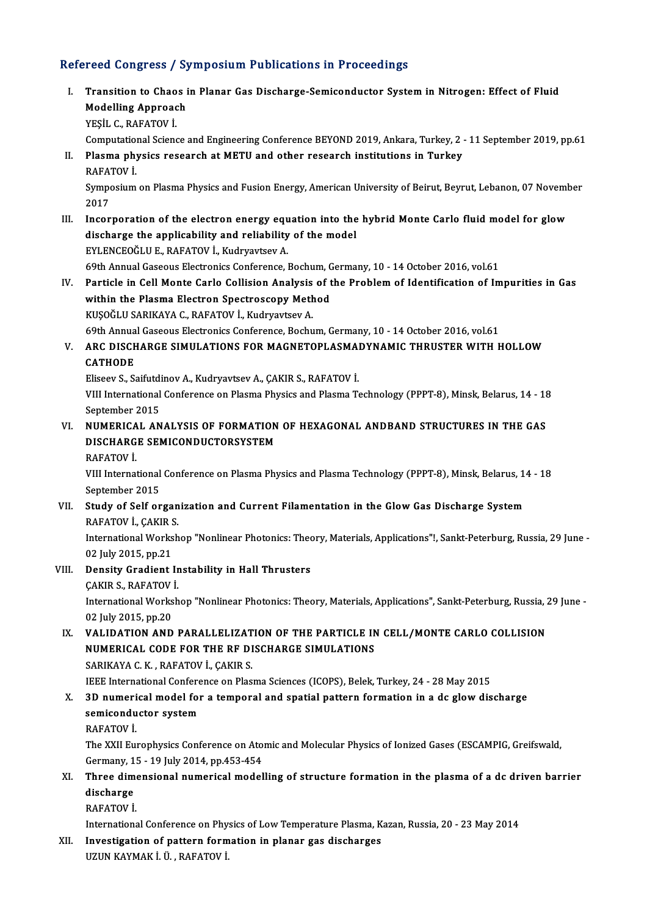## Refereed Congress / Symposium Publications in Proceedings

efereed Congress / Symposium Publications in Proceedings<br>I. Transition to Chaos in Planar Gas Discharge-Semiconductor System in Nitrogen: Effect of Fluid<br>Medelling Appreash Transition to Chaos<br>Modelling Approach<br>VESU C. BAEATOV İ Modelling Approach<br>YEŞİL C., RAFATOV İ. Computational Science and Engineering Conference BEYOND 2019, Ankara, Turkey, 2 - 11 September 2019, pp.61 YEŞİL C., RAFATOV İ.<br>Computational Science and Engineering Conference BEYOND 2019, Ankara, Turkey, 2<br>II. Plasma physics research at METU and other research institutions in Turkey<br>RAFATOV İ Computation<br>Plasma phy<br>RAFATOV İ. Plasma physics research at METU and other research institutions in Turkey<br>RAFATOV İ.<br>Symposium on Plasma Physics and Fusion Energy, American University of Beirut, Beyrut, Lebanon, 07 November<br>2017 RAFA'<br>Sympo<br>2017<br>Inser Symposium on Plasma Physics and Fusion Energy, American University of Beirut, Beyrut, Lebanon, 07 Novem<br>2017<br>III. Incorporation of the electron energy equation into the hybrid Monte Carlo fluid model for glow<br>discharge the 2017<br>Incorporation of the electron energy equation into the<br>discharge the applicability and reliability of the model<br>EVI ENCEOČLU E, RAEATOV L, Kudryayteev A Incorporation of the electron energy equention.<br>Alischarge the applicability and reliability<br>EYLENCEOĞLU E., RAFATOV İ., Kudryavtsev A. discharge the applicability and reliability of the model<br>EYLENCEOĞLU E., RAFATOV İ., Kudryavtsev A.<br>69th Annual Gaseous Electronics Conference, Bochum, Germany, 10 - 14 October 2016, vol.61<br>Particle in Cell Mante Carle Cel EYLENCEOĞLU E., RAFATOV İ., Kudryavtsev A.<br>69th Annual Gaseous Electronics Conference, Bochum, Germany, 10 - 14 October 2016, vol.61<br>IV. Particle in Cell Monte Carlo Collision Analysis of the Problem of Identification of I 69th Annual Gaseous Electronics Conference, Bochum, G<br>Particle in Cell Monte Carlo Collision Analysis of t<br>within the Plasma Electron Spectroscopy Method<br>KUSOČU U SARIKANA G PAEATOV L Kudruattsev A KUŞOĞLU SARIKAYA C., RAFATOV İ., Kudryavtsev A.

within the Plasma Electron Spectroscopy Method<br>KUŞOĞLU SARIKAYA C., RAFATOV İ., Kudryavtsev A.<br>69th Annual Gaseous Electronics Conference, Bochum, Germany, 10 - 14 October 2016, vol.61<br>ARC DISCHARCE SIMIJI ATIONS FOR MACNE

## KUŞOĞLU SARIKAYA C., RAFATOV İ., Kudryavtsev A.<br>69th Annual Gaseous Electronics Conference, Bochum, Germany, 10 - 14 October 2016, vol.61<br>V. ARC DISCHARGE SIMULATIONS FOR MAGNETOPLASMADYNAMIC THRUSTER WITH HOLLOW 69th Annua<br>ARC DISCH<br>CATHODE<br>Eliseev S. S. ARC DISCHARGE SIMULATIONS FOR MAGNETOPLASMA<mark>.</mark><br>CATHODE<br>Eliseev S., Saifutdinov A., Kudryavtsev A., ÇAKIR S., RAFATOV İ.<br>VIII International Conference on Plasma Physics and Plasma T.

CATHODE<br>Eliseev S., Saifutdinov A., Kudryavtsev A., ÇAKIR S., RAFATOV İ.<br>VIII International Conference on Plasma Physics and Plasma Technology (PPPT-8), Minsk, Belarus, 14 - 18<br>September 2015 Eliseev S., Saifutdinov A., Kudryavtsev A., CAKIR S., RAFATOV İ. VIII International Conference on Plasma Physics and Plasma Technology (PPPT-8), Minsk, Belarus, 14 - 18<br>September 2015<br>VI. NUMERICAL ANALYSIS OF FORMATION OF HEXAGONAL ANDBAND STRUCTURES IN THE GAS

## September 2015<br>NUMERICAL ANALYSIS OF FORMATION<br>DISCHARGE SEMICONDUCTORSYSTEM<br>BAEATOV İ NUMERICA<br>DISCHARG<br>RAFATOV İ.

DISCHARGE SEMICONDUCTORSYSTEM<br>RAFATOV İ.<br>VIII International Conference on Plasma Physics and Plasma Technology (PPPT-8), Minsk, Belarus, 14 - 18<br>Sentember 2015 RAFATOV İ.<br>VIII International<br>September 2015<br>Study of Self er VIII International Conference on Plasma Physics and Plasma Technology (PPPT-8), Minsk, Belarus, 1.<br>September 2015<br>VII. Study of Self organization and Current Filamentation in the Glow Gas Discharge System<br>RAEATOV L CAVIR S

# September 2015<br>Study of Self organ<br>RAFATOV İ., ÇAKIR S.<br>International Werkeb

RAFATOV İ., ÇAKIR S.<br>International Workshop "Nonlinear Photonics: Theory, Materials, Applications"!, Sankt-Peterburg, Russia, 29 June -RAFATOV İ., ÇAKIR S<br>International Works<br>02 July 2015, pp.21<br>Pensity Cradiont b 02 July 2015, pp.21<br>Density Gradient Ir<br>ÇAKIR S., RAFATOV İ.<br>International Werkeb

### VIII. Density Gradient Instability in Hall Thrusters

### CAKIR S., RAFATOV İ

International Workshop "Nonlinear Photonics: Theory, Materials, Applications", Sankt-Peterburg, Russia, 29 June -<br>02 July 2015, pp.20 International Workshop "Nonlinear Photonics: Theory, Materials, Applications", Sankt-Peterburg, Russia, 2<br>02 July 2015, pp.20<br>IX. VALIDATION AND PARALLELIZATION OF THE PARTICLE IN CELL/MONTE CARLO COLLISION

## 02 July 2015, pp.20<br>VALIDATION AND PARALLELIZATION OF THE PARTICLE IN<br>NUMERICAL CODE FOR THE RF DISCHARGE SIMULATIONS VALIDATION AND PARALLELIZAT<br>NUMERICAL CODE FOR THE RF DI<br>SARIKAYA C. K. , RAFATOV İ., ÇAKIR S.<br>JEEE International Conference on Plac **NUMERICAL CODE FOR THE RF DISCHARGE SIMULATIONS<br>SARIKAYA C. K., RAFATOV İ., ÇAKIR S.<br>IEEE International Conference on Plasma Sciences (ICOPS), Belek, Turkey, 24 - 28 May 2015**

## SARIKAYA C. K., RAFATOV İ., ÇAKIR S.<br>IEEE International Conference on Plasma Sciences (ICOPS), Belek, Turkey, 24 - 28 May 2015<br>X. 3D numerical model for a temporal and spatial pattern formation in a dc glow discharge<br>comis **IEEE International Confere**<br>3D numerical model for<br>semiconductor system<br>RAEATOV i 3D numeri<br>semicondu<br>RAFATOV İ.<br>The YYU Ew

semiconductor system<br>RAFATOV İ.<br>The XXII Europhysics Conference on Atomic and Molecular Physics of Ionized Gases (ESCAMPIG, Greifswald,<br>Cermany 15, 19 July 2014, np.452,454 RAFATOV İ.<br>The XXII Europhysics Conference on Ato:<br>Germany, 15 - 19 July 2014, pp.453-454<br>Three dimensional numerical model The XXII Europhysics Conference on Atomic and Molecular Physics of Ionized Gases (ESCAMPIG, Greifswald,<br>Germany, 15 - 19 July 2014, pp.453-454<br>XI. Three dimensional numerical modelling of structure formation in the plasma

## Germany, 15 - 19 July 2014, pp.453-454<br>Three dimensional numerical model<br>discharge<br>RAFATOV İ. Three dime<br>discharge<br>RAFATOV İ.

International Conference on Physics of Low Temperature Plasma, Kazan, Russia, 20 - 23 May 2014

XII. Investigation of pattern formation in planar gas discharges UZUNKAYMAKİ.Ü. ,RAFATOVİ.